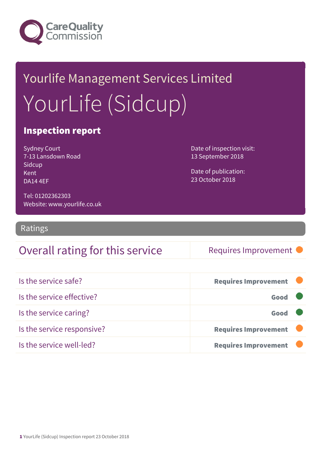

# Yourlife Management Services Limited YourLife (Sidcup)

#### Inspection report

Sydney Court 7-13 Lansdown Road **Sidcup** Kent DA14 4EF

Date of inspection visit: 13 September 2018

Date of publication: 23 October 2018

Tel: 01202362303 Website: www.yourlife.co.uk

Ratings

#### Overall rating for this service Requires Improvement

| Is the service safe?       | <b>Requires Improvement</b> |
|----------------------------|-----------------------------|
| Is the service effective?  | Good                        |
| Is the service caring?     | Good                        |
| Is the service responsive? | Requires Improvement        |
| Is the service well-led?   | <b>Requires Improvement</b> |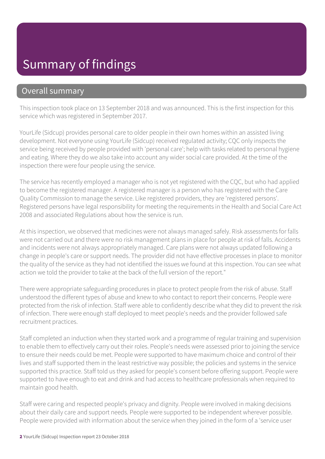# Summary of findings

#### Overall summary

This inspection took place on 13 September 2018 and was announced. This is the first inspection for this service which was registered in September 2017.

YourLife (Sidcup) provides personal care to older people in their own homes within an assisted living development. Not everyone using YourLife (Sidcup) received regulated activity; CQC only inspects the service being received by people provided with 'personal care'; help with tasks related to personal hygiene and eating. Where they do we also take into account any wider social care provided. At the time of the inspection there were four people using the service.

The service has recently employed a manager who is not yet registered with the CQC, but who had applied to become the registered manager. A registered manager is a person who has registered with the Care Quality Commission to manage the service. Like registered providers, they are 'registered persons'. Registered persons have legal responsibility for meeting the requirements in the Health and Social Care Act 2008 and associated Regulations about how the service is run.

At this inspection, we observed that medicines were not always managed safely. Risk assessments for falls were not carried out and there were no risk management plans in place for people at risk of falls. Accidents and incidents were not always appropriately managed. Care plans were not always updated following a change in people's care or support needs. The provider did not have effective processes in place to monitor the quality of the service as they had not identified the issues we found at this inspection. You can see what action we told the provider to take at the back of the full version of the report."

There were appropriate safeguarding procedures in place to protect people from the risk of abuse. Staff understood the different types of abuse and knew to who contact to report their concerns. People were protected from the risk of infection. Staff were able to confidently describe what they did to prevent the risk of infection. There were enough staff deployed to meet people's needs and the provider followed safe recruitment practices.

Staff completed an induction when they started work and a programme of regular training and supervision to enable them to effectively carry out their roles. People's needs were assessed prior to joining the service to ensure their needs could be met. People were supported to have maximum choice and control of their lives and staff supported them in the least restrictive way possible; the policies and systems in the service supported this practice. Staff told us they asked for people's consent before offering support. People were supported to have enough to eat and drink and had access to healthcare professionals when required to maintain good health.

Staff were caring and respected people's privacy and dignity. People were involved in making decisions about their daily care and support needs. People were supported to be independent wherever possible. People were provided with information about the service when they joined in the form of a 'service user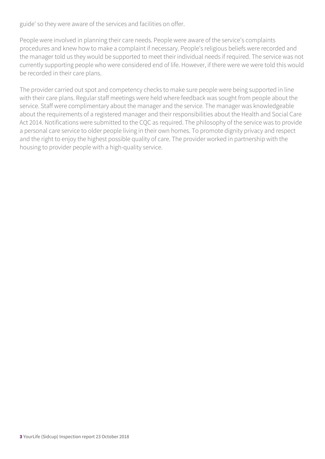guide' so they were aware of the services and facilities on offer.

People were involved in planning their care needs. People were aware of the service's complaints procedures and knew how to make a complaint if necessary. People's religious beliefs were recorded and the manager told us they would be supported to meet their individual needs if required. The service was not currently supporting people who were considered end of life. However, if there were we were told this would be recorded in their care plans.

The provider carried out spot and competency checks to make sure people were being supported in line with their care plans. Regular staff meetings were held where feedback was sought from people about the service. Staff were complimentary about the manager and the service. The manager was knowledgeable about the requirements of a registered manager and their responsibilities about the Health and Social Care Act 2014. Notifications were submitted to the CQC as required. The philosophy of the service was to provide a personal care service to older people living in their own homes. To promote dignity privacy and respect and the right to enjoy the highest possible quality of care. The provider worked in partnership with the housing to provider people with a high-quality service.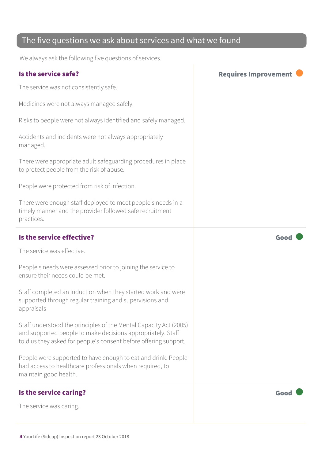#### The five questions we ask about services and what we found

We always ask the following five questions of services.

| Is the service safe?                                                                                                                                                                                 | <b>Requires Improvement</b> |
|------------------------------------------------------------------------------------------------------------------------------------------------------------------------------------------------------|-----------------------------|
| The service was not consistently safe.                                                                                                                                                               |                             |
| Medicines were not always managed safely.                                                                                                                                                            |                             |
| Risks to people were not always identified and safely managed.                                                                                                                                       |                             |
| Accidents and incidents were not always appropriately<br>managed.                                                                                                                                    |                             |
| There were appropriate adult safeguarding procedures in place<br>to protect people from the risk of abuse.                                                                                           |                             |
| People were protected from risk of infection.                                                                                                                                                        |                             |
| There were enough staff deployed to meet people's needs in a<br>timely manner and the provider followed safe recruitment<br>practices.                                                               |                             |
| Is the service effective?                                                                                                                                                                            | Good                        |
| The service was effective.                                                                                                                                                                           |                             |
| People's needs were assessed prior to joining the service to<br>ensure their needs could be met.                                                                                                     |                             |
| Staff completed an induction when they started work and were<br>supported through regular training and supervisions and<br>appraisals                                                                |                             |
| Staff understood the principles of the Mental Capacity Act (2005)<br>and supported people to make decisions appropriately. Staff<br>told us they asked for people's consent before offering support. |                             |
| People were supported to have enough to eat and drink. People<br>had access to healthcare professionals when required, to<br>maintain good health.                                                   |                             |
| Is the service caring?                                                                                                                                                                               | Good                        |
| The service was caring.                                                                                                                                                                              |                             |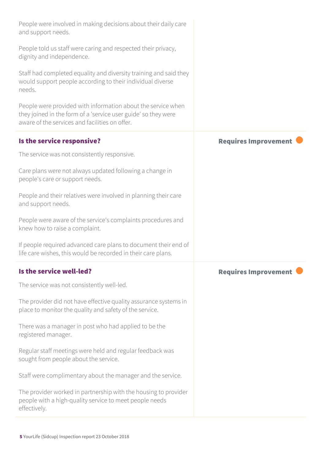| People were involved in making decisions about their daily care<br>and support needs.                                                                                            |                             |
|----------------------------------------------------------------------------------------------------------------------------------------------------------------------------------|-----------------------------|
| People told us staff were caring and respected their privacy,<br>dignity and independence.                                                                                       |                             |
| Staff had completed equality and diversity training and said they<br>would support people according to their individual diverse<br>needs.                                        |                             |
| People were provided with information about the service when<br>they joined in the form of a 'service user guide' so they were<br>aware of the services and facilities on offer. |                             |
| Is the service responsive?                                                                                                                                                       | <b>Requires Improvement</b> |
| The service was not consistently responsive.                                                                                                                                     |                             |
| Care plans were not always updated following a change in<br>people's care or support needs.                                                                                      |                             |
| People and their relatives were involved in planning their care<br>and support needs.                                                                                            |                             |
| People were aware of the service's complaints procedures and<br>knew how to raise a complaint.                                                                                   |                             |
| If people required advanced care plans to document their end of<br>life care wishes, this would be recorded in their care plans.                                                 |                             |
| Is the service well-led?                                                                                                                                                         | <b>Requires Improvement</b> |
| The service was not consistently well-led.                                                                                                                                       |                             |
| The provider did not have effective quality assurance systems in<br>place to monitor the quality and safety of the service.                                                      |                             |
| There was a manager in post who had applied to be the<br>registered manager.                                                                                                     |                             |
| Regular staff meetings were held and regular feedback was<br>sought from people about the service.                                                                               |                             |
| Staff were complimentary about the manager and the service.                                                                                                                      |                             |
| The provider worked in partnership with the housing to provider<br>people with a high-quality service to meet people needs<br>effectively.                                       |                             |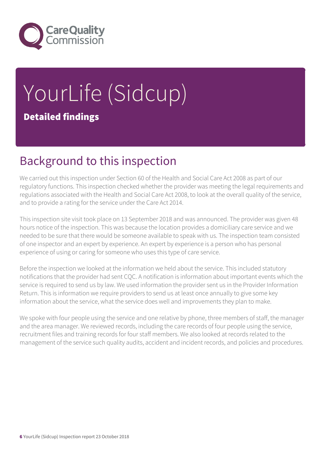

# YourLife (Sidcup) Detailed findings

# Background to this inspection

We carried out this inspection under Section 60 of the Health and Social Care Act 2008 as part of our regulatory functions. This inspection checked whether the provider was meeting the legal requirements and regulations associated with the Health and Social Care Act 2008, to look at the overall quality of the service, and to provide a rating for the service under the Care Act 2014.

This inspection site visit took place on 13 September 2018 and was announced. The provider was given 48 hours notice of the inspection. This was because the location provides a domiciliary care service and we needed to be sure that there would be someone available to speak with us. The inspection team consisted of one inspector and an expert by experience. An expert by experience is a person who has personal experience of using or caring for someone who uses this type of care service.

Before the inspection we looked at the information we held about the service. This included statutory notifications that the provider had sent CQC. A notification is information about important events which the service is required to send us by law. We used information the provider sent us in the Provider Information Return. This is information we require providers to send us at least once annually to give some key information about the service, what the service does well and improvements they plan to make.

We spoke with four people using the service and one relative by phone, three members of staff, the manager and the area manager. We reviewed records, including the care records of four people using the service, recruitment files and training records for four staff members. We also looked at records related to the management of the service such quality audits, accident and incident records, and policies and procedures.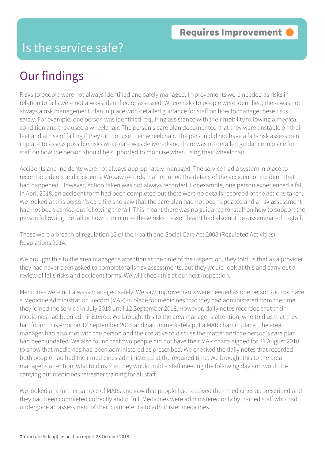#### Is the service safe?

## Our findings

Risks to people were not always identified and safely managed. Improvements were needed as risks in relation to falls were not always identified or assessed. Where risks to people were identified, there was not always a risk management plan in place with detailed guidance for staff on how to manage these risks safely. For example, one person was identified requiring assistance with their mobility following a medical condition and they used a wheelchair. The person's care plan documented that they were unstable on their feet and at risk of falling if they did not use their wheelchair. The person did not have a falls risk assessment in place to assess possible risks while care was delivered and there was no detailed guidance in place for staff on how the person should be supported to mobilise when using their wheelchair.

Accidents and incidents were not always appropriately managed. The service had a system in place to record accidents and incidents. We saw records that included the details of the accident or incident, that had happened. However, action taken was not always recorded. For example, one person experienced a fall in April 2018, an accident form had been completed but there were no details recorded of the actions taken. We looked at this person's care file and saw that the care plan had not been updated and a risk assessment had not been carried out following the fall. This meant there was no guidance for staff on how to support the person following the fall or how to minimise these risks. Lesson learnt had also not be disseminated to staff.

These were a breach of regulation 12 of the Health and Social Care Act 2008 (Regulated Activities) Regulations 2014.

We brought this to the area manager's attention at the time of the inspection, they told us that as a provider they had never been asked to complete falls risk assessments, but they would look at this and carry out a review of falls risks and accident forms. We will check this at our next inspection.

Medicines were not always managed safely. We saw improvements were needed as one person did not have a Medicine Administration Record (MAR) in place for medicines that they had administered from the time they joined the service in July 2018 until 12 September 2018. However, daily notes recorded that their medicines had been administered. We brought this to the area manager's attention, who told us that they had found this error on 12 September 2018 and had immediately put a MAR chart in place. The area manager had also met with the person and their relative to discuss the matter and the person's care plan had been updated. We also found that two people did not have their MAR charts signed for 31 August 2018 to show that medicines had been administered as prescribed. We checked the daily notes that recorded both people had had their medicines administered at the required time. We brought this to the area manager's attention, who told us that they would hold a staff meeting the following day and would be carrying out medicines refresher training for all staff.

We looked at a further sample of MARs and saw that people had received their medicines as prescribed and they had been completed correctly and in full. Medicines were administered only by trained staff who had undergone an assessment of their competency to administer medicines.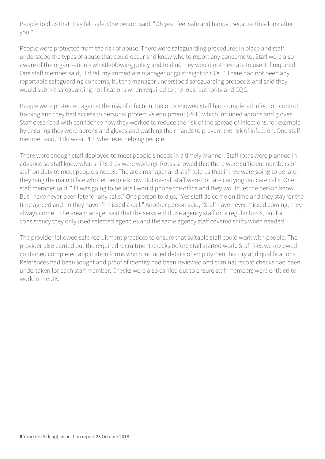People told us that they felt safe. One person said, "Oh yes I feel safe and happy. Because they look after you."

People were protected from the risk of abuse. There were safeguarding procedures in place and staff understood the types of abuse that could occur and knew who to report any concerns to. Staff were also aware of the organisation's whistleblowing policy and told us they would not hesitate to use it if required. One staff member said, "I'd tell my immediate manager or go straight to CQC." There had not been any reportable safeguarding concerns, but the manager understood safeguarding protocols and said they would submit safeguarding notifications when required to the local authority and CQC.

People were protected against the risk of infection. Records showed staff had completed infection control training and they had access to personal protective equipment (PPE) which included aprons and gloves. Staff described with confidence how they worked to reduce the risk of the spread of infections, for example by ensuring they wore aprons and gloves and washing their hands to prevent the risk of infection. One staff member said, "I do wear PPE whenever helping people."

There were enough staff deployed to meet people's needs in a timely manner. Staff rotas were planned in advance so staff knew what shifts they were working. Rotas showed that there were sufficient numbers of staff on duty to meet people's needs. The area manager and staff told us that if they were going to be late, they rang the main office who let people know. But overall staff were not late carrying out care calls. One staff member said, "If I was going to be late I would phone the office and they would let the person know. But I have never been late for any calls." One person told us, "Yes staff do come on time and they stay for the time agreed and no they haven't missed a call." Another person said, "Staff have never missed coming, they always come." The area manager said that the service did use agency staff on a regular basis, but for consistency they only used selected agencies and the same agency staff covered shifts when needed.

The provider followed safe recruitment practices to ensure that suitable staff could work with people. The provider also carried out the required recruitment checks before staff started work. Staff files we reviewed contained completed application forms which included details of employment history and qualifications. References had been sought and proof of identity had been reviewed and criminal record checks had been undertaken for each staff member. Checks were also carried out to ensure staff members were entitled to work in the UK.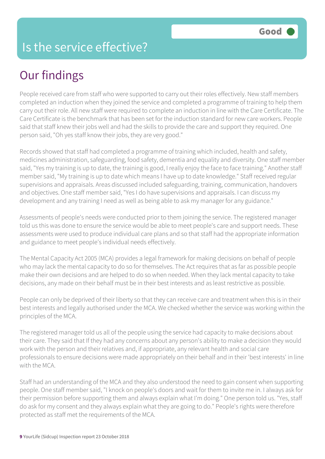### Is the service effective?

# Our findings

People received care from staff who were supported to carry out their roles effectively. New staff members completed an induction when they joined the service and completed a programme of training to help them carry out their role. All new staff were required to complete an induction in line with the Care Certificate. The Care Certificate is the benchmark that has been set for the induction standard for new care workers. People said that staff knew their jobs well and had the skills to provide the care and support they required. One person said, "Oh yes staff know their jobs, they are very good."

Records showed that staff had completed a programme of training which included, health and safety, medicines administration, safeguarding, food safety, dementia and equality and diversity. One staff member said, "Yes my training is up to date, the training is good, I really enjoy the face to face training." Another staff member said, "My training is up to date which means I have up to date knowledge." Staff received regular supervisions and appraisals. Areas discussed included safeguarding, training, communication, handovers and objectives. One staff member said, "Yes I do have supervisions and appraisals. I can discuss my development and any training I need as well as being able to ask my manager for any guidance."

Assessments of people's needs were conducted prior to them joining the service. The registered manager told us this was done to ensure the service would be able to meet people's care and support needs. These assessments were used to produce individual care plans and so that staff had the appropriate information and guidance to meet people's individual needs effectively.

The Mental Capacity Act 2005 (MCA) provides a legal framework for making decisions on behalf of people who may lack the mental capacity to do so for themselves. The Act requires that as far as possible people make their own decisions and are helped to do so when needed. When they lack mental capacity to take decisions, any made on their behalf must be in their best interests and as least restrictive as possible.

People can only be deprived of their liberty so that they can receive care and treatment when this is in their best interests and legally authorised under the MCA. We checked whether the service was working within the principles of the MCA.

The registered manager told us all of the people using the service had capacity to make decisions about their care. They said that If they had any concerns about any person's ability to make a decision they would work with the person and their relatives and, if appropriate, any relevant health and social care professionals to ensure decisions were made appropriately on their behalf and in their 'best interests' in line with the MCA.

Staff had an understanding of the MCA and they also understood the need to gain consent when supporting people. One staff member said, "I knock on people's doors and wait for them to invite me in. I always ask for their permission before supporting them and always explain what I'm doing." One person told us. "Yes, staff do ask for my consent and they always explain what they are going to do." People's rights were therefore protected as staff met the requirements of the MCA.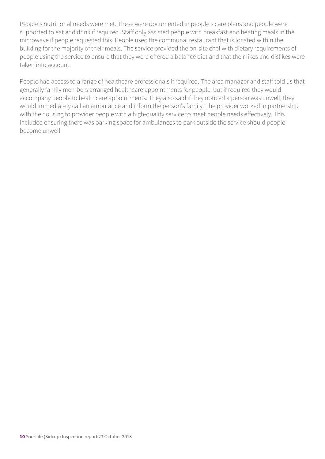People's nutritional needs were met. These were documented in people's care plans and people were supported to eat and drink if required. Staff only assisted people with breakfast and heating meals in the microwave if people requested this. People used the communal restaurant that is located within the building for the majority of their meals. The service provided the on-site chef with dietary requirements of people using the service to ensure that they were offered a balance diet and that their likes and dislikes were taken into account.

People had access to a range of healthcare professionals if required. The area manager and staff told us that generally family members arranged healthcare appointments for people, but if required they would accompany people to healthcare appointments. They also said if they noticed a person was unwell, they would immediately call an ambulance and inform the person's family. The provider worked in partnership with the housing to provider people with a high-quality service to meet people needs effectively. This included ensuring there was parking space for ambulances to park outside the service should people become unwell.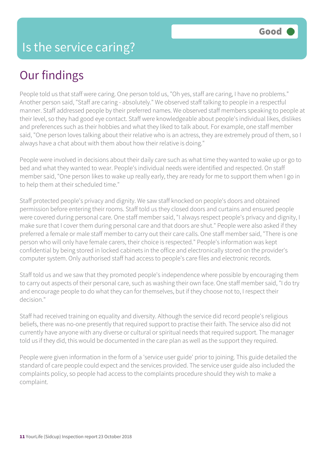# Our findings

People told us that staff were caring. One person told us, "Oh yes, staff are caring, I have no problems." Another person said, "Staff are caring - absolutely." We observed staff talking to people in a respectful manner. Staff addressed people by their preferred names. We observed staff members speaking to people at their level, so they had good eye contact. Staff were knowledgeable about people's individual likes, dislikes and preferences such as their hobbies and what they liked to talk about. For example, one staff member said, "One person loves talking about their relative who is an actress, they are extremely proud of them, so I always have a chat about with them about how their relative is doing."

People were involved in decisions about their daily care such as what time they wanted to wake up or go to bed and what they wanted to wear. People's individual needs were identified and respected. On staff member said, "One person likes to wake up really early, they are ready for me to support them when I go in to help them at their scheduled time."

Staff protected people's privacy and dignity. We saw staff knocked on people's doors and obtained permission before entering their rooms. Staff told us they closed doors and curtains and ensured people were covered during personal care. One staff member said, "I always respect people's privacy and dignity, I make sure that I cover them during personal care and that doors are shut." People were also asked if they preferred a female or male staff member to carry out their care calls. One staff member said, "There is one person who will only have female carers, their choice is respected." People's information was kept confidential by being stored in locked cabinets in the office and electronically stored on the provider's computer system. Only authorised staff had access to people's care files and electronic records.

Staff told us and we saw that they promoted people's independence where possible by encouraging them to carry out aspects of their personal care, such as washing their own face. One staff member said, "I do try and encourage people to do what they can for themselves, but if they choose not to, I respect their decision."

Staff had received training on equality and diversity. Although the service did record people's religious beliefs, there was no-one presently that required support to practise their faith. The service also did not currently have anyone with any diverse or cultural or spiritual needs that required support. The manager told us if they did, this would be documented in the care plan as well as the support they required.

People were given information in the form of a 'service user guide' prior to joining. This guide detailed the standard of care people could expect and the services provided. The service user guide also included the complaints policy, so people had access to the complaints procedure should they wish to make a complaint.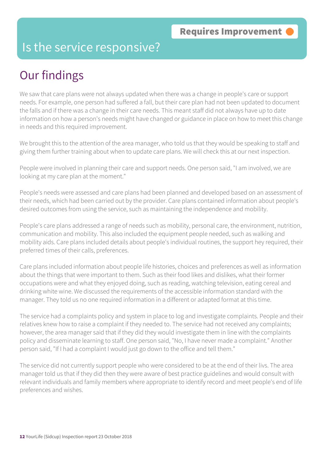#### Is the service responsive?

# Our findings

We saw that care plans were not always updated when there was a change in people's care or support needs. For example, one person had suffered a fall, but their care plan had not been updated to document the falls and if there was a change in their care needs. This meant staff did not always have up to date information on how a person's needs might have changed or guidance in place on how to meet this change in needs and this required improvement.

We brought this to the attention of the area manager, who told us that they would be speaking to staff and giving them further training about when to update care plans. We will check this at our next inspection.

People were involved in planning their care and support needs. One person said, "I am involved, we are looking at my care plan at the moment."

People's needs were assessed and care plans had been planned and developed based on an assessment of their needs, which had been carried out by the provider. Care plans contained information about people's desired outcomes from using the service, such as maintaining the independence and mobility.

People's care plans addressed a range of needs such as mobility, personal care, the environment, nutrition, communication and mobility. This also included the equipment people needed, such as walking and mobility aids. Care plans included details about people's individual routines, the support hey required, their preferred times of their calls, preferences.

Care plans included information about people life histories, choices and preferences as well as information about the things that were important to them. Such as their food likes and dislikes, what their former occupations were and what they enjoyed doing, such as reading, watching television, eating cereal and drinking white wine. We discussed the requirements of the accessible information standard with the manager. They told us no one required information in a different or adapted format at this time.

The service had a complaints policy and system in place to log and investigate complaints. People and their relatives knew how to raise a complaint if they needed to. The service had not received any complaints; however, the area manager said that if they did they would investigate them in line with the complaints policy and disseminate learning to staff. One person said, "No, I have never made a complaint." Another person said, "If I had a complaint I would just go down to the office and tell them."

The service did not currently support people who were considered to be at the end of their livs. The area manager told us that if they did then they were aware of best practice guidelines and would consult with relevant individuals and family members where appropriate to identify record and meet people's end of life preferences and wishes.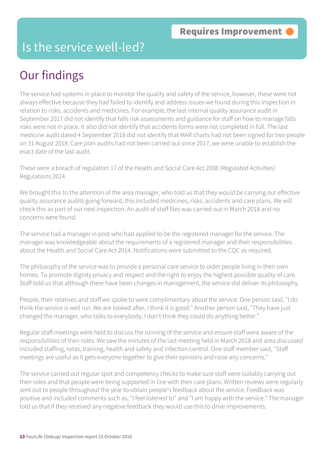#### Is the service well-led?

# Our findings

The service had systems in place to monitor the quality and safety of the service, however, these were not always effective because they had failed to identify and address issues we found during this inspection in relation to risks, accidents and medicines. For example, the last internal quality assurance audit in September 2017 did not identify that falls risk assessments and guidance for staff on how to manage falls risks were not in place. It also did not identify that accidents forms were not completed in full. The last medicine audit dated 4 September 2018 did not identify that MAR charts had not been signed for two people on 31 August 2018. Care plan audits had not been carried out since 2017, we were unable to establish the exact date of the last audit.

These were a breach of regulation 17 of the Health and Social Care Act 2008 (Regulated Activities) Regulations 2014.

We brought this to the attention of the area manager, who told us that they would be carrying out effective quality assurance audits going forward, this included medicines, risks, accidents and care plans. We will check this as part of our next inspection. An audit of staff files was carried out in March 2018 and no concerns were found.

The service had a manager in post who had applied to be the registered manager for the service. The manager was knowledgeable about the requirements of a registered manager and their responsibilities about the Health and Social Care Act 2014. Notifications were submitted to the CQC as required.

The philosophy of the service was to provide a personal care service to older people living in their own homes. To promote dignity privacy and respect and the right to enjoy the highest possible quality of care. Staff told us that although there have been changes in management, the service did deliver its philosophy.

People, their relatives and staff we spoke to were complimentary about the service. One person said, "I do think the service is well run. We are looked after, I think it is good." Another person said, "They have just changed the manager, who talks to everybody, I don't think they could do anything better."

Regular staff meetings were held to discuss the running of the service and ensure staff were aware of the responsibilities of their roles. We saw the minutes of the last meeting held in March 2018 and area discussed included staffing, rotas, training, health and safety and infection control. One staff member said, "Staff meetings are useful as it gets everyone together to give their opinions and raise any concerns."

The service carried out regular spot and competency checks to make sure staff were suitably carrying out their roles and that people were being supported in line with their care plans. Written reviews were regularly sent out to people throughout the year to obtain people's feedback about the service. Feedback was positive and included comments such as, "I feel listened to" and "I am happy with the service." The manager told us that if they received any negative feedback they would use this to drive improvements.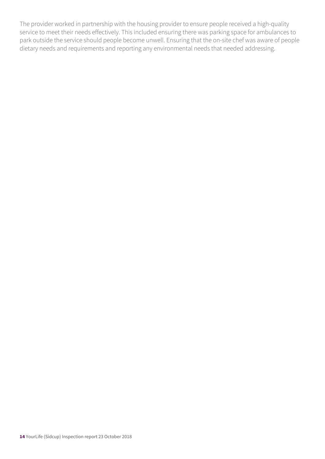The provider worked in partnership with the housing provider to ensure people received a high-quality service to meet their needs effectively. This included ensuring there was parking space for ambulances to park outside the service should people become unwell. Ensuring that the on-site chef was aware of people dietary needs and requirements and reporting any environmental needs that needed addressing.